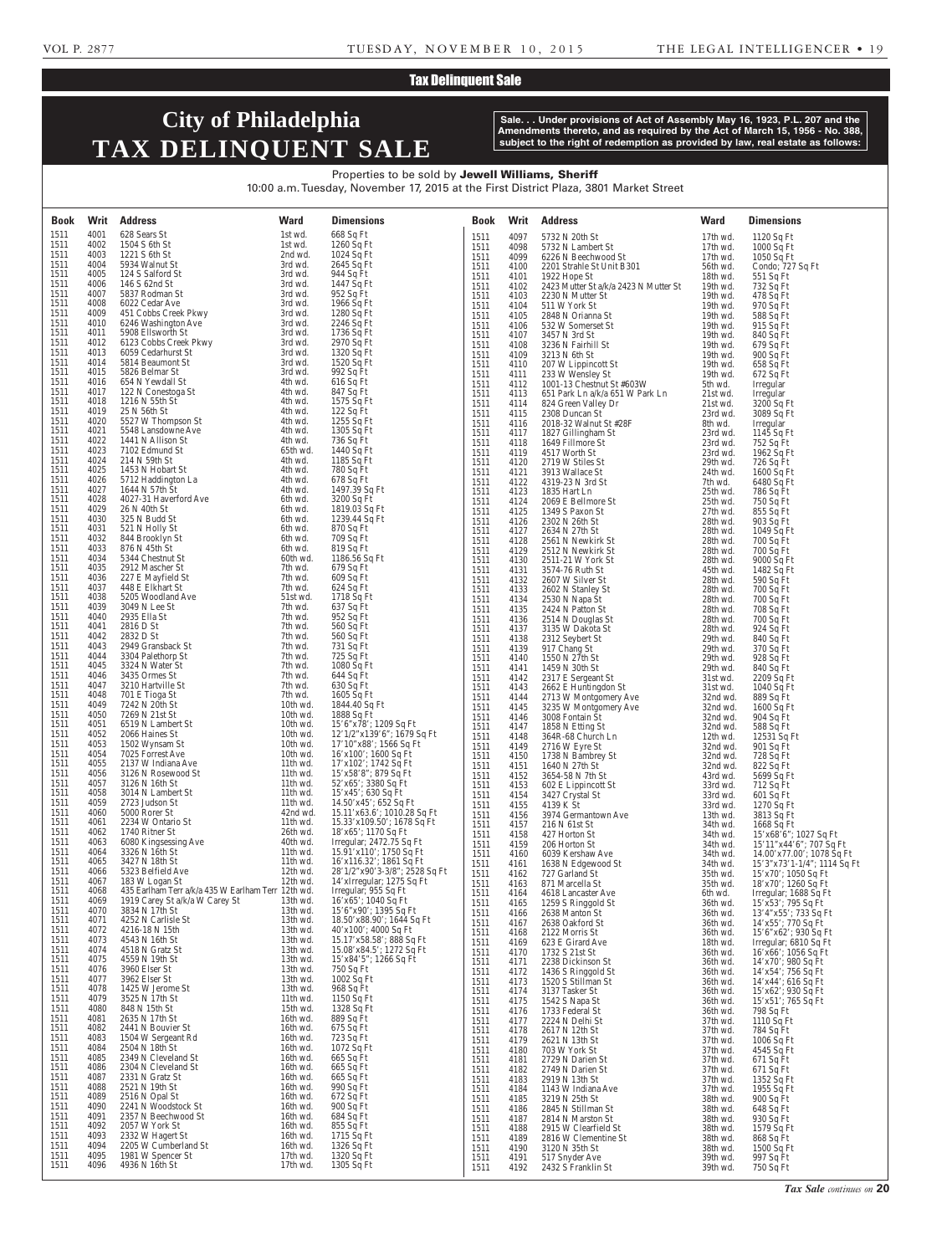### Tax Delinquent Sale

# **City of Philadelphia TAX DELINQUENT SALE**

**Sale. . . Under provisions of Act of Assembly May 16, 1923, P.L. 207 and the Amendments thereto, and as required by the Act of March 15, 1956 - No. 388, subject to the right of redemption as provided by law, real estate as follows:**

Properties to be sold by Jewell Williams, Sheriff 10:00 a.m. Tuesday, November 17, 2015 at the First District Plaza, 3801 Market Street

| Book         |              | <b>Writ</b> Address                                                                  | Ward                 | <b>Dimensions</b>                                         |              |              | <b>Book Writ Address</b>                                  | <b>Ward</b>            | <b>Dimensions</b>                                        |
|--------------|--------------|--------------------------------------------------------------------------------------|----------------------|-----------------------------------------------------------|--------------|--------------|-----------------------------------------------------------|------------------------|----------------------------------------------------------|
| 1511<br>1511 | 4001<br>4002 | 628 Sears St<br>1504 S 6th St                                                        | 1st wd.<br>1st wd.   | 668 Sq Ft<br>1260 Sq Ft                                   | 1511         | 4097         | 5732 N 20th St                                            | 17th wd.               | 1120 Sq Ft                                               |
| 1511         | 4003         | 1221 S 6th St                                                                        | 2nd wd.              | $1024$ Sq Ft                                              | 1511<br>1511 | 4098<br>4099 | 5732 N Lambert St<br>6226 N Beechwood St                  | 17th wd.<br>$17th$ wd. | 1000 Sq Ft<br>$1050$ Sq Ft                               |
| 1511         | 4004         | 5934 Walnut St                                                                       | 3rd wd.              | 2645 Sq Ft                                                | 1511         | 4100         | 2201 Strahle St Unit B301                                 | 56th wd.               | Condo; 727 Sq Ft                                         |
| 1511         | 4005         | 124 S Salford St                                                                     | 3rd wd.              | 944 Sq Ft                                                 | 1511         | 4101         | 1922 Hope St                                              | 18th wd.               | 551 Sq Ft                                                |
| 1511<br>1511 | 4006<br>4007 | 146 S 62nd St<br>5837 Rodman St                                                      | 3rd wd.<br>3rd wd.   | 1447 Sq Ft<br>952 Sq Ft                                   | 1511<br>1511 | 4102<br>4103 | 2423 Mutter St a/k/a 2423 N Mutter St<br>2230 N Mutter St | 19th wd.<br>19th wd.   | 732 Sq Ft<br>478 Sq Ft                                   |
| 1511         | 4008         | 6022 Cedar Ave                                                                       | 3rd wd.              | 1966 Sq Ft                                                | 1511         | 4104         | 511 W York St                                             | 19th wd.               | 970 Sq Ft                                                |
| 1511         | 4009         | 451 Cobbs Creek Pkwy                                                                 | 3rd wd.              | 1280 Sq Ft                                                | 1511         | 4105         | 2848 N Orianna St                                         | 19th wd.               | 588 Sq Ft                                                |
| 1511<br>1511 | 4010<br>4011 | 6246 Washington Ave<br>5908 Ellsworth St                                             | 3rd wd.<br>3rd wd.   | $2246 Sq$ Ft<br>1736 Sq Ft                                | 1511         | 4106         | 532 W Somerset St                                         | 19th wd.               | 915 Sq Ft                                                |
| 1511         | 4012         | 6123 Cobbs Creek Pkwy                                                                | 3rd wd.              | 2970 Sq Ft                                                | 1511<br>1511 | 4107<br>4108 | 3457 N 3rd St<br>3236 N Fairhill St                       | 19th wd.<br>19th wd.   | 840 Sq Ft<br>679 Sq Ft                                   |
| 1511         | 4013         | 6059 Cedarhurst St                                                                   | 3rd wd.              | 1320 Sq Ft                                                | 1511         | 4109         | 3213 N 6th St                                             | 19th wd.               | 900 Sq Ft                                                |
| 1511<br>1511 | 4014<br>4015 | 5814 Beaumont St<br>5826 Belmar St                                                   | 3rd wd.<br>3rd wd.   | 1520 Sq Ft<br>992 Sq Ft                                   | 1511         | 4110         | 207 W Lippincott St                                       | 19th wd.               | 658 Sq Ft                                                |
| 1511         | 4016         | 654 N Yewdall St                                                                     | 4th wd.              | $616$ Sq Ft                                               | 1511<br>1511 | 4111<br>4112 | 233 W Wensley St<br>1001-13 Chestnut St #603W             | 19th wd.<br>5th wd.    | 672 Sq Ft<br>Irregular                                   |
| 1511         | 4017         | 122 N Conestoga St                                                                   | 4th wd.              | 847 Sq Ft                                                 | 1511         | 4113         | 651 Park Ln a/k/a 651 W Park Ln                           | 21st wd.               | Irregular                                                |
| 1511<br>1511 | 4018<br>4019 | 1216 N 55th St<br>25 N 56th St                                                       | 4th wd.<br>4th wd.   | 1575 Sq Ft<br>$122$ Sq Ft                                 | 1511         | 4114         | 824 Green Valley Dr                                       | 21st wd.               | 3200 Sq Ft                                               |
| 1511         | 4020         | 5527 W Thompson St                                                                   | 4th wd.              | 1255 Sq Ft                                                | 1511<br>1511 | 4115<br>4116 | 2308 Duncan St<br>2018-32 Walnut St #28F                  | 23rd wd.<br>8th wd.    | 3089 Sq Ft<br>Irregular                                  |
| 1511         | 4021         | 5548 Lansdowne Ave                                                                   | 4th wd.              | 1305 Sq Ft                                                | 1511         | 4117         | 1827 Gillingham St                                        | 23rd wd.               | 1145 Sq Ft                                               |
| 1511         | 4022<br>4023 | 1441 N Allison St<br>7102 Edmund St                                                  | 4th wd.              | 736 Sq Ft                                                 | 1511         | 4118         | 1649 Fillmore St                                          | 23rd wd.               | 752 Sq Ft                                                |
| 1511<br>1511 | 4024         | 214 N 59th St                                                                        | 65th wd.<br>4th wd.  | 1440 Sq Ft<br>1185 Sq Ft                                  | 1511<br>1511 | 4119<br>4120 | 4517 Worth St<br>2719 W Stiles St                         | 23rd wd.<br>29th wd.   | 1962 Sq Ft<br>726 Sq Ft                                  |
| 1511         | 4025         | 1453 N Hobart St                                                                     | 4th wd.              | 780 Sq Ft                                                 | 1511         | 4121         | 3913 Wallace St                                           | 24th wd.               | $1600$ Sq Ft                                             |
| 1511         | 4026         | 5712 Haddington La                                                                   | 4th wd.              | 678 Sq Ft                                                 | 1511         | 4122         | 4319-23 N 3rd St                                          | 7th wd.                | 6480 Sq Ft                                               |
| 1511<br>1511 | 4027<br>4028 | 1644 N 57th St<br>4027-31 Haverford Ave                                              | 4th wd.<br>6th wd.   | 1497.39 Sq Ft<br>3200 Sq Ft                               | 1511<br>1511 | 4123<br>4124 | 1835 Hart Ln<br>2069 E Bellmore St                        | 25th wd.               | 786 Sq Ft                                                |
| 1511         | 4029         | 26 N 40th St                                                                         | 6th wd.              | 1819.03 Sq Ft                                             | 1511         | 4125         | 1349 S Paxon St                                           | 25th wd.<br>$27th$ wd. | 750 Sq Ft<br>855 Sq Ft                                   |
| 1511         | 4030         | 325 N Budd St                                                                        | 6th wd.              | 1239.44 Sq Ft                                             | 1511         | 4126         | 2302 N 26th St                                            | 28th wd.               | 903 Sq Ft                                                |
| 1511<br>1511 | 4031<br>4032 | 521 N Holly St<br>844 Brooklyn St                                                    | 6th wd.<br>6th wd.   | 870 Sq Ft<br>709 Sq Ft                                    | 1511         | 4127         | 2634 N 27th St                                            | 28th wd.               | 1049 Sq Ft                                               |
| 1511         | 4033         | 876 N 45th St                                                                        | 6th wd.              | 819 Sq Ft                                                 | 1511<br>1511 | 4128<br>4129 | 2561 N Newkirk St<br>2512 N Newkirk St                    | 28th wd.<br>28th wd.   | 700 Sq Ft<br>700 Sq Ft                                   |
| 1511         | 4034         | 5344 Chestnut St                                                                     | 60th wd.             | 1186.56 Sq Ft                                             | 1511         | 4130         | 2511-21 W York St                                         | 28th wd.               | 9000 Sq Ft                                               |
| 1511<br>1511 | 4035<br>4036 | 2912 Mascher St<br>227 E Mayfield St                                                 | 7th wd.<br>7th wd.   | 679 Sq Ft<br>609 Sq Ft                                    | 1511         | 4131         | 3574-76 Ruth St                                           | 45th wd.               | 1482 Sq Ft                                               |
| 1511         | 4037         | 448 E Elkhart St                                                                     | 7th wd.              | 624 Sq Ft                                                 | 1511<br>1511 | 4132<br>4133 | 2607 W Silver St<br>2602 N Stanley St                     | 28th wd.<br>28th wd.   | 590 Sq Ft<br>700 Sq Ft                                   |
| 1511         | 4038         | 5205 Woodland Ave                                                                    | 51st wd.             | 1718 Sq Ft                                                | 1511         | 4134         | 2530 N Napa St                                            | 28th wd.               | 700 Sq Ft                                                |
| 1511         | 4039<br>4040 | 3049 N Lee St                                                                        | 7th wd.              | 637 Sq Ft                                                 | 1511         | 4135         | 2424 N Patton St                                          | 28th wd.               | 708 Sq Ft                                                |
| 1511<br>1511 | 4041         | 2935 Ella St<br>2816 D St                                                            | 7th wd.<br>7th wd.   | 952 Sq Ft<br>560 Sq Ft                                    | 1511<br>1511 | 4136<br>4137 | 2514 N Douglas St<br>3135 W Dakota St                     | 28th wd.<br>28th wd.   | 700 Sq Ft<br>924 Sq Ft                                   |
| 1511         | 4042         | 2832 D St                                                                            | 7th wd.              | 560 Sq Ft                                                 | 1511         | 4138         | 2312 Seybert St                                           | 29th wd.               | 840 Sq Ft                                                |
| 1511         | 4043         | 2949 Gransback St                                                                    | 7th wd.              | 731 Sq Ft                                                 | 1511         | 4139         | 917 Chang St                                              | 29th wd.               | 370 Sq Ft                                                |
| 1511<br>1511 | 4044<br>4045 | 3304 Palethorp St<br>3324 N Water St                                                 | 7th wd.<br>7th wd.   | 725 Sq Ft<br>1080 Sq Ft                                   | 1511<br>1511 | 4140<br>4141 | 1550 N 27th St<br>1459 N 30th St                          | 29th wd.               | 928 Sq Ft                                                |
| 1511         | 4046         | 3435 Ormes St                                                                        | 7th wd.              | 644 Sq Ft                                                 | 1511         | 4142         | 2317 E Sergeant St                                        | 29th wd.<br>31st wd.   | 840 Sq Ft<br>2209 Sq Ft                                  |
| 1511         | 4047         | 3210 Hartville St                                                                    | 7th wd.              | 630 Sq Ft                                                 | 1511         | 4143         | 2662 E Huntingdon St                                      | 31st wd.               | 1040 Sq Ft                                               |
| 1511<br>1511 | 4048<br>4049 | 701 E Tioga St<br>7242 N 20th St                                                     | 7th wd.<br>10th wd.  | 1605 Sq Ft<br>1844.40 Sq Ft                               | 1511         | 4144         | 2713 W Montgomery Ave                                     | 32nd wd.               | 889 Sq Ft                                                |
| 1511         | 4050         | 7269 N 21st St                                                                       | $10th$ wd.           | 1888 Sq Ft                                                | 1511<br>1511 | 4145<br>4146 | 3235 W Montgomery Ave<br>3008 Fontain St                  | 32nd wd.<br>32nd wd.   | $1600$ Sq Ft<br>904 Sq Ft                                |
| 1511         | 4051         | 6519 N Lambert St                                                                    | 10th wd.             | 15'6"x78'; 1209 Sq Ft                                     | 1511         |              | 4147 1858 N Etting St                                     | 32nd wd.               | 588 Sq Ft                                                |
| 1511<br>1511 | 4052<br>4053 | 2066 Haines St<br>1502 Wynsam St                                                     | 10th wd.<br>10th wd. | 12'1/2"x139'6"; 1679 Sq Ft<br>17'10"x88'; 1566 Sq Ft      | 1511         | 4148         | 364R-68 Church Ln                                         | 12th wd.               | $12531$ Sq Ft                                            |
| 1511         | 4054         | 7025 Forrest Ave                                                                     | 10th wd.             | $16'x100'$ ; 1600 Sq Ft                                   | 1511<br>1511 | 4149<br>4150 | 2716 W Eyre St<br>1738 N Bambrey St                       | 32nd wd.<br>32nd wd.   | 901 Sq Ft<br>728 Sq Ft                                   |
| 1511         | 4055         | 2137 W Indiana Ave                                                                   | 11th wd.             | 17'x102'; 1742 Sq Ft                                      | 1511         | 4151         | 1640 N 27th St                                            | 32nd wd.               | 822 Sq Ft                                                |
| 1511<br>1511 | 4056<br>4057 | 3126 N Rosewood St<br>3126 N 16th St                                                 | 11th wd.<br>11th wd. | 15'x58'8"; 879 Sq Ft<br>52'x65'; 3380 Sq Ft               | 1511         | 4152         | 3654-58 N 7th St                                          | 43rd wd.<br>33rd wd.   | 5699 Sq Ft                                               |
| 1511         | 4058         | 3014 N Lambert St                                                                    | 11th wd.             | 15'x45'; 630 Sq Ft                                        | 1511<br>1511 | 4153<br>4154 | 602 E Lippincott St<br>3427 Crystal St                    | 33rd wd.               | 712 Sq Ft<br>$601$ Sq Ft                                 |
| 1511         | 4059         | 2723 Judson St                                                                       | 11th wd.             | 14.50'x45'; 652 Sq Ft                                     | 1511         | 4155         | 4139 K St                                                 | 33rd wd.               | $1270 Sq$ Ft                                             |
| 1511<br>1511 | 4060<br>4061 | 5000 Rorer St<br>2234 W Ontario St                                                   | 42nd wd.<br>11th wd. | 15.11'x63.6'; 1010.28 Sq Ft<br>15.33'x109.50'; 1678 Sq Ft | 1511<br>1511 | 4156         | 3974 Germantown Ave                                       | 13th wd.               | 3813 Sq Ft                                               |
| 1511         | 4062         | 1740 Ritner St                                                                       | 26th wd.             | 18'x65'; 1170 Sq Ft                                       | 1511         | 4157<br>4158 | 216 N 61st St<br>427 Horton St                            | 34th wd.<br>34th wd.   | 1668 Sq Ft<br>15'x68'6"; 1027 Sq Ft                      |
| 1511         | 4063         | 6080 Kingsessing Ave                                                                 | 40th wd.             | Irregular; 2472.75 Sq Ft                                  | 1511         | 4159         | 206 Horton St                                             | 34th wd.               | 15'11"x44'6"; 707 Sq Ft                                  |
| 1511<br>1511 | 4064<br>4065 | 3326 N 16th St<br>3427 N 18th St                                                     | 11th wd.<br>11th wd. | 15.91'x110'; 1750 Sq Ft<br>16'x116.32'; 1861 Sq Ft        | 1511         | 4160         | 6039 Kershaw Ave                                          | 34th wd.               | 14.00'x77.00'; 1078 Sq Ft<br>15'3"x73'1-1/4"; 1114 Sq Ft |
| 1511         | 4066         | 5323 Belfield Ave                                                                    | 12th wd.             | 28'1/2"x90'3-3/8"; 2528 Sq Ft                             | 1511<br>1511 | 4161<br>4162 | 1638 N Edgewood St<br>727 Garland St                      | 34th wd.<br>35th wd.   | $15'$ x70'; 1050 Sq Ft                                   |
| 1511         | 4067         | 183 W Logan St                                                                       | 12th wd.             | 14'xIrregular; 1275 Sq Ft                                 | 1511         | 4163         | 871 Marcella St                                           | 35th wd.               | $18'$ x 70'; 1260 Sq Ft                                  |
| 1511<br>1511 | 4068<br>4069 | 435 Earlham Terr a/k/a 435 W Earlham Terr 12th wd.<br>1919 Carey St a/k/a W Carey St | 13th wd.             | Irregular; 955 Sq Ft<br>$16'$ x65'; 1040 Sq Ft            | 1511         | 4164         | 4618 Lancaster Ave                                        | 6th wd.                | Irregular; 1688 Sq Ft                                    |
| 1511         | 4070         | 3834 N 17th St                                                                       | 13th wd.             | $15'6''x90'$ ; 1395 Sq Ft                                 | 1511<br>1511 | 4165<br>4166 | 1259 S Ringgold St<br>2638 Manton St                      | 36th wd.<br>36th wd.   | $15'x53'$ ; 795 Sq Ft<br>13'4"x55'; 733 Sq Ft            |
| 1511         | 4071         | 4252 N Carlisle St                                                                   | 13th wd.             | 18.50'x88.90'; 1644 Sq Ft                                 | 1511         | 4167         | 2638 Oakford St                                           | 36th wd.               | 14'x55'; 770 Sq Ft                                       |
| 1511<br>1511 | 4072<br>4073 | 4216-18 N 15th<br>4543 N 16th St                                                     | 13th wd.<br>13th wd. | $40'x100'$ ; 4000 Sq Ft<br>15.17'x58.58'; 888 Sq Ft       | 1511         | 4168         | 2122 Morris St                                            | 36th wd.               | $15'6''x62'$ ; 930 Sq Ft                                 |
| 1511         | 4074         | 4518 N Gratz St                                                                      | 13th wd.             | 15.08'x84.5'; 1272 Sq Ft                                  | 1511<br>1511 | 4169<br>4170 | 623 E Girard Ave<br>1732 S 21st St                        | 18th wd.<br>36th wd.   | Irregular; 6810 Sq Ft<br>$16'x66$ ; 1056 Sq Ft           |
| 1511         | 4075         | 4559 N 19th St                                                                       | 13th wd.             | 15'x84'5"; 1266 Sq Ft                                     | 1511         | 4171         | 2238 Dickinson St                                         | 36th wd.               | 14'x70'; 980 Sq Ft                                       |
| 1511<br>1511 | 4076<br>4077 | 3960 Elser St<br>3962 Elser St                                                       | 13th wd.<br>13th wd. | 750 Sq Ft<br>1002 Sq Ft                                   | 1511         | 4172         | 1436 S Ringgold St                                        | 36th wd.               | $14'x54'$ ; 756 Sq Ft                                    |
| 1511         | 4078         | 1425 W Jerome St                                                                     | 13th wd.             | 968 Sq Ft                                                 | 1511<br>1511 | 4173<br>4174 | 1520 S Stillman St<br>3137 Tasker St                      | 36th wd.<br>36th wd.   | 14'x44'; 616 Sq Ft<br>15'x62'; 930 Sq Ft                 |
| 1511         | 4079         | 3525 N 17th St                                                                       | 11th wd.             | 1150 Sq Ft                                                | 1511         | 4175         | 1542 S Napa St                                            | 36th wd.               | $15'x51'$ ; 765 Sq Ft                                    |
| 1511<br>1511 | 4080<br>4081 | 848 N 15th St<br>2635 N 17th St                                                      | 15th wd.<br>16th wd. | 1328 Sq Ft<br>889 Sq Ft                                   | 1511         | 4176         | 1733 Federal St                                           | 36th wd.               | 798 Sq Ft                                                |
| 1511         | 4082         | 2441 N Bouvier St                                                                    | 16th wd.             | 675 Sq Ft                                                 | 1511<br>1511 | 4177<br>4178 | 2224 N Delhi St<br>2617 N 12th St                         | 37th wd.<br>37th wd.   | 1110 Sq Ft<br>784 Sq Ft                                  |
| 1511         | 4083         | 1504 W Sergeant Rd                                                                   | 16th wd.             | 723 Sq Ft                                                 | 1511         | 4179         | 2621 N 13th St                                            | 37th wd.               | $1006$ Sq Ft                                             |
| 1511         | 4084         | 2504 N 18th St                                                                       | 16th wd.             | 1072 Sq Ft                                                | 1511         | 4180         | 703 W York St                                             | 37th wd.               | 4545 Sq Ft                                               |
| 1511<br>1511 | 4085<br>4086 | 2349 N Cleveland St<br>2304 N Cleveland St                                           | 16th wd.<br>16th wd. | 665 Sq Ft<br>665 Sq Ft                                    | 1511<br>1511 | 4181<br>4182 | 2729 N Darien St<br>2749 N Darien St                      | 37th wd.<br>37th wd.   | $671$ Sq Ft<br>671 Sq Ft                                 |
| 1511         | 4087         | 2331 N Gratz St                                                                      | 16th wd.             | 665 Sq Ft                                                 | 1511         | 4183         | 2919 N 13th St                                            | 37th wd.               | 1352 Sq Ft                                               |
| 1511<br>1511 | 4088<br>4089 | 2521 N 19th St<br>2516 N Opal St                                                     | 16th wd.<br>16th wd. | 990 Sq Ft<br>672 Sq Ft                                    | 1511         | 4184         | 1143 W Indiana Ave                                        | 37th wd.               | 1955 Sq Ft                                               |
| 1511         | 4090         | 2241 N Woodstock St                                                                  | 16th wd.             | 900 Sq Ft                                                 | 1511<br>1511 | 4185<br>4186 | 3219 N 25th St<br>2845 N Stillman St                      | 38th wd.<br>38th wd.   | 900 Sq Ft<br>648 Sq Ft                                   |
| 1511         | 4091         | 2357 N Beechwood St                                                                  | 16th wd.             | 684 Sq Ft                                                 | 1511         | 4187         | 2814 N Marston St                                         | 38th wd.               | 930 Sq Ft                                                |
| 1511<br>1511 | 4092<br>4093 | 2057 W York St<br>2332 W Hagert St                                                   | 16th wd.<br>16th wd. | 855 Sq Ft<br>1715 Sq Ft                                   | 1511         | 4188         | 2915 W Clearfield St                                      | 38th wd.               | 1579 Sq Ft                                               |
| 1511         | 4094         | 2205 W Cumberland St                                                                 | 16th wd.             | 1326 Sq Ft                                                | 1511<br>1511 | 4189<br>4190 | 2816 W Clementine St<br>3120 N 35th St                    | 38th wd.<br>38th wd.   | 868 Sq Ft<br>1500 Sq Ft                                  |
| 1511         | 4095         | 1981 W Spencer St                                                                    | 17th wd.             | 1320 Sq Ft                                                | 1511         | 4191         | 517 Snyder Ave                                            | 39th wd.               | 997 Sq Ft                                                |
| 1511         | 4096         | 4936 N 16th St                                                                       | 17th wd.             | 1305 Sq Ft                                                | 1511         | 4192         | 2432 S Franklin St                                        | 39th wd.               | 750 Sq Ft                                                |